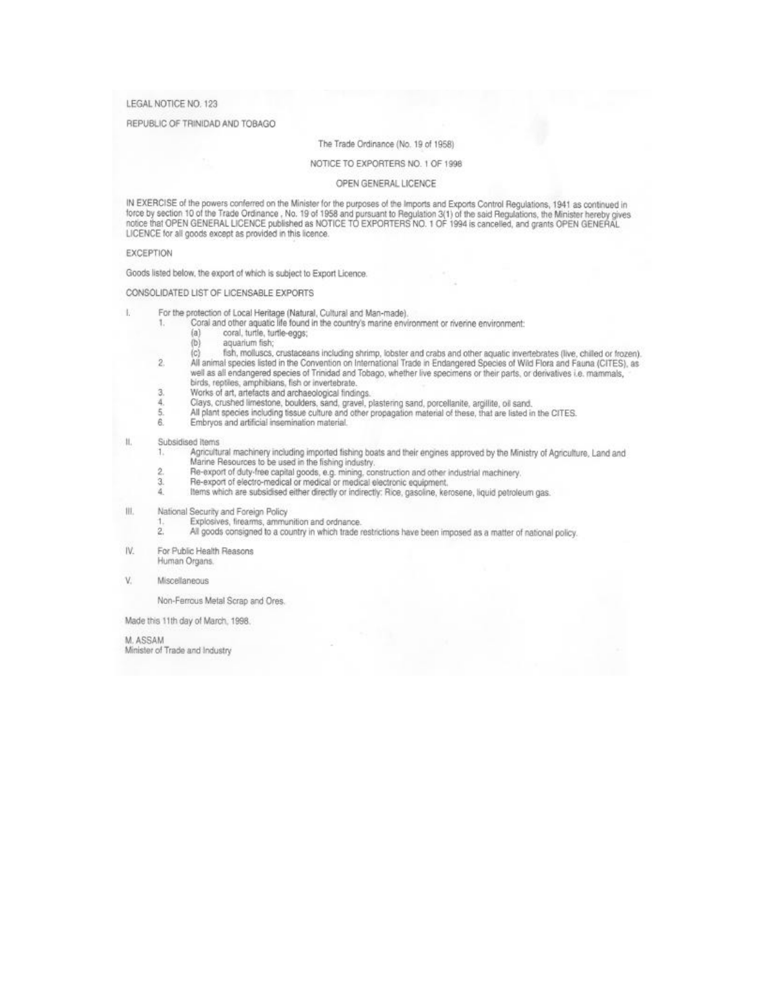### LEGAL NOTICE NO. 123

### REPUBLIC OF TRINIDAD AND TOBAGO

### The Trade Ordinance (No. 19 of 1958)

### NOTICE TO EXPORTERS NO. 1 OF 1998

#### OPEN GENERAL LICENCE

IN EXERCISE of the powers conferred on the Minister for the purposes of the Imports and Exports Control Regulations, 1941 as continued in<br>force by section 10 of the Trade Ordinance , No. 19 of 1958 and pursuant to Regulati LICENCE for all goods except as provided in this licence.

#### **EXCEPTION**

Goods listed below, the export of which is subject to Export Licence.

### CONSOLIDATED LIST OF LICENSABLE EXPORTS

- Ŀ For the protection of Local Heritage (Natural, Cultural and Man-made).
	- Coral and other aquatic life found in the country's marine environment or riverine environment: 1.
		- $(a)$ coral, turtle, turtle-eggs;
		- $(b)$ aquarium fish;
		- fish, molluscs, crustaceans including shrimp, lobster and crabs and other aquatic invertebrates (live, chilled or frozen).  $(c)$
	- $\overline{2}$ All animal species listed in the Convention on International Trade in Endangered Species of Wild Flora and Fauna (CITES), as well as all endangered species of Trinidad and Tobago, whether live specimens or their parts, or derivatives i.e. mammals,
	- birds, reptiles, amphibians, fish or invertebrate. Works of art, artefacts and archaeological findings.
	- 3.
	- Clays, crushed limestone, boulders, sand, gravel, plastering sand, porcellanite, argillite, oil sand.<br>All plant species including tissue culture and other propagation material of these, that are listed in the CITES. 4. 5.
	-
	- 6. Embryos and artificial insemination material.

#### H. Subsidised Items

- Agricultural machinery including imported fishing boats and their engines approved by the Ministry of Agriculture, Land and<br>Marine Resources to be used in the fishing industry.  $\mathbb{1}$  $\overline{2}$ 
	- Re-export of duty-free capital goods, e.g. mining, construction and other industrial machinery.<br>Re-export of electro-medical or medical or medical electronic equipment,
- 3.
- 4. Items which are subsidised either directly or indirectly: Rice, gasoline, kerosene, liquid petroleum gas.
- 担. National Security and Foreign Policy
	- Explosives, firearms, ammunition and ordnance.
	- $\overline{2}$ All goods consigned to a country in which trade restrictions have been imposed as a matter of national policy.
- IV. For Public Health Reasons Human Organs.
- V. Miscellaneous

Non-Ferrous Metal Scrap and Ores.

Made this 11th day of March, 1998.

M. ASSAM

Minister of Trade and Industry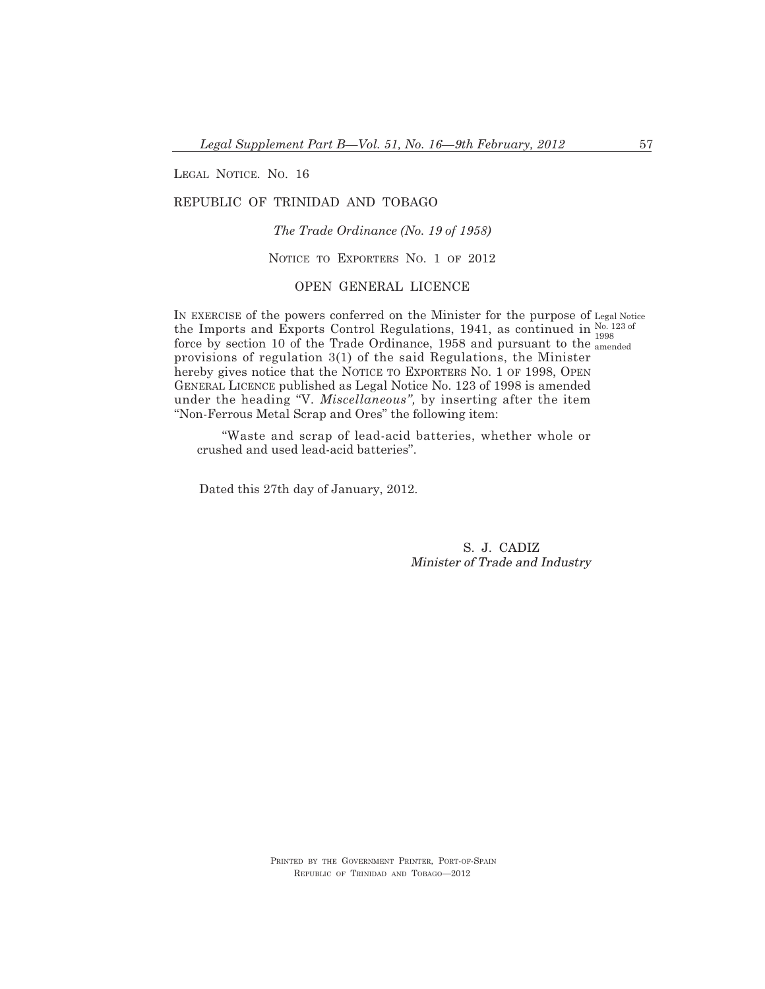LEGAL NOTICE. NO. 16

# REPUBLIC OF TRINIDAD AND TOBAGO

*The Trade Ordinance (No. 19 of 1958)*

NOTICE TO EXPORTERS NO. 1 OF 2012

### OPEN GENERAL LICENCE

IN EXERCISE of the powers conferred on the Minister for the purpose of Legal Notice the Imports and Exports Control Regulations, 1941, as continued in  $\frac{N_0.123 \text{ of}}{1000}$ force by section 10 of the Trade Ordinance, 1958 and pursuant to the amended provisions of regulation 3(1) of the said Regulations, the Minister hereby gives notice that the NOTICE TO EXPORTERS NO. 1 OF 1998, OPEN GENERAL LICENCE published as Legal Notice No. 123 of 1998 is amended under the heading "V*. Miscellaneous",* by inserting after the item "Non-Ferrous Metal Scrap and Ores" the following item: 1998

"Waste and scrap of lead-acid batteries, whether whole or crushed and used lead-acid batteries".

Dated this 27th day of January, 2012.

S. J. CADIZ Minister of Trade and Industry

PRINTED BY THE GOVERNMENT PRINTER, PORT-OF-SPAIN REPUBLIC OF TRINIDAD AND TOBAGO—2012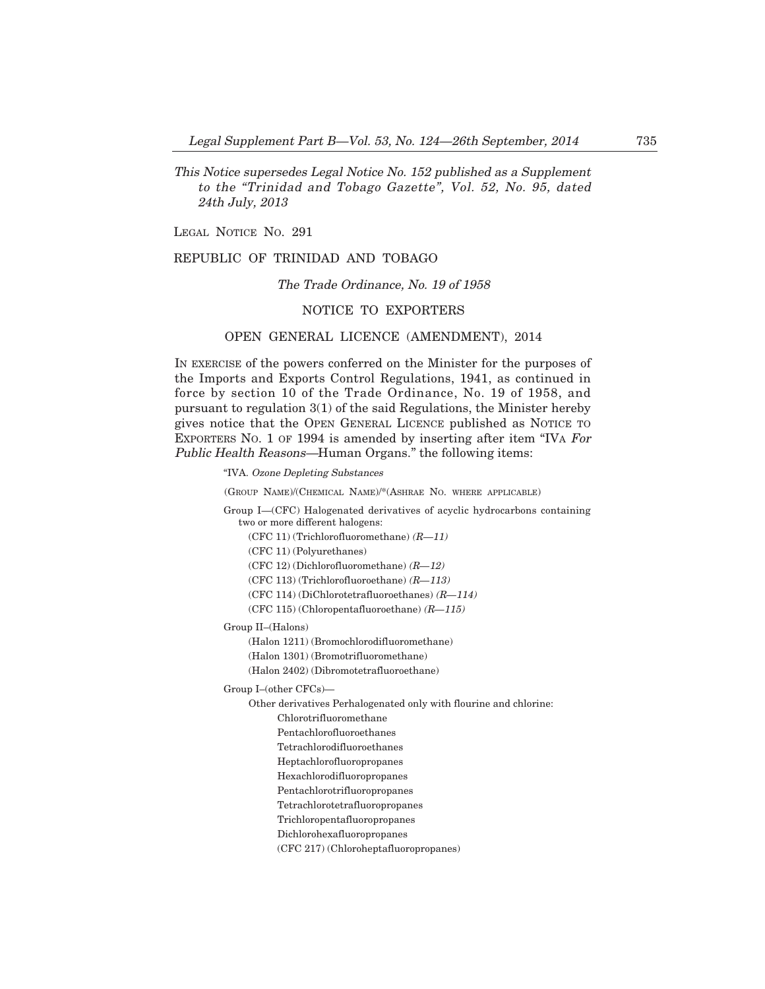This Notice supersedes Legal Notice No. 152 published as <sup>a</sup> Supplement to the "Trinidad and Tobago Gazette", Vol. 52, No. 95, dated 24th July, 2013

LEGAL NOTICE No. 291

### REPUBLIC OF TRINIDAD AND TOBAGO

### The Trade Ordinance, No. 19 of 1958

### NOTICE TO EXPORTERS

### OPEN GENERAL LICENCE (AMENDMENT), 2014

IN EXERCISE of the powers conferred on the Minister for the purposes of the Imports and Exports Control Regulations, 1941, as continued in force by section 10 of the Trade Ordinance, No. 19 of 1958, and pursuant to regulation 3(1) of the said Regulations, the Minister hereby gives notice that the OPEN GENERAL LICENCE published as NOTICE TO EXPORTERS NO. 1 OF 1994 is amended by inserting after item "IVA For Public Health Reasons–Human Organs." the following items:

"IVA. Ozone Depleting Substances

(GROUP NAME)/(CHEMICAL NAME)/\*(ASHRAE NO. WHERE APPLICABLE)

Group I–(CFC) Halogenated derivatives of acyclic hydrocarbons containing two or more different halogens:

- (CFC 11) (Trichlorofluoromethane)  $(R-11)$
- (CFC 11) (Polyurethanes)
- (CFC 12) (Dichlorofluoromethane) (R–12)

(CFC 113) (Trichlorofluoroethane)  $(R-113)$ 

(CFC 114) (DiChlorotetrafluoroethanes) (R–114)

(CFC 115) (Chloropentafluoroethane) (R–115)

Group II—(Halons)

(Halon 1211) (Bromochlorodifluoromethane)

(Halon 1301) (Bromotrifluoromethane)

(Halon 2402) (Dibromotetrafluoroethane)

Group I—(other CFCs)–

Other derivatives Perhalogenated only with flourine and chlorine:

- Chlorotrifluoromethane
- Pentachlorofluoroethanes
- Tetrachlorodifluoroethanes
- Heptachlorofluoropropanes
- Hexachlorodifluoropropanes
- Pentachlorotrifluoropropanes
- Tetrachlorotetrafluoropropanes
- Trichloropentafluoropropanes
- Dichlorohexafluoropropanes

(CFC 217) (Chloroheptafluoropropanes)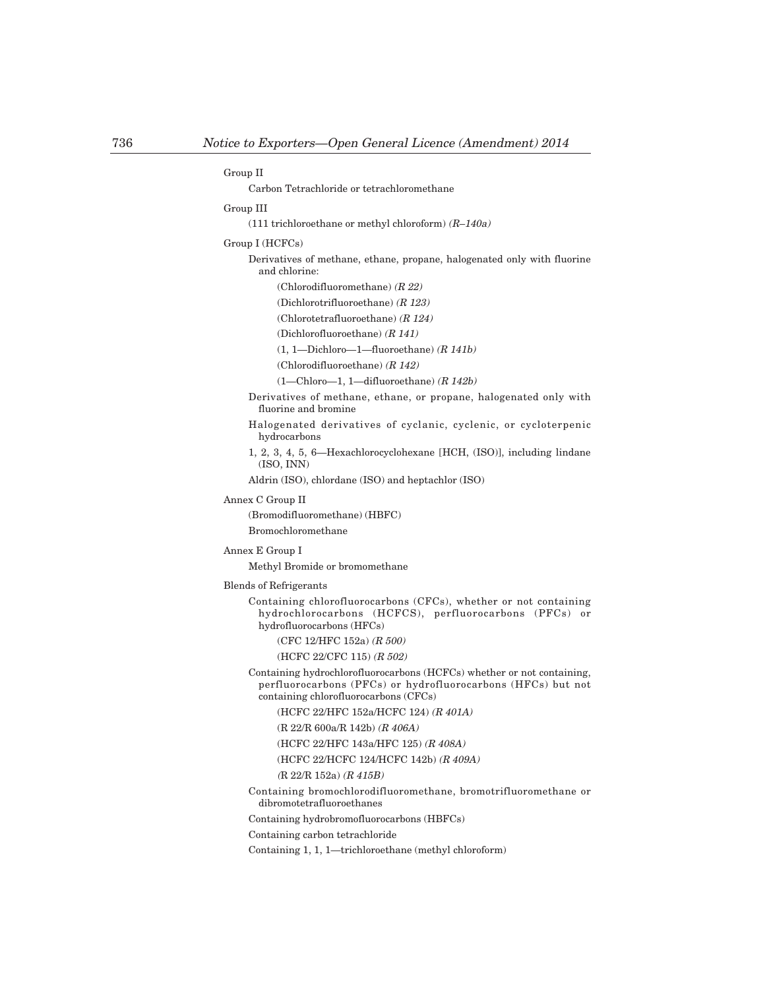#### Group II

Carbon Tetrachloride or tetrachloromethane

#### Group III

(111 trichloroethane or methyl chloroform) (R—140a)

Group I (HCFCs)

Derivatives of methane, ethane, propane, halogenated only with fluorine and chlorine:

(Chlorodifluoromethane) (R 22)

(Dichlorotrifluoroethane) (R 123)

(Chlorotetrafluoroethane) (R 124)

(Dichlorofluoroethane) (R 141)

 $(1, 1$ -Dichloro-1-fluoroethane)  $(R 141b)$ 

(Chlorodifluoroethane) (R 142)

 $(1-Chloro-1, 1-diffluoroethane)$   $(R 142b)$ 

Derivatives of methane, ethane, or propane, halogenated only with fluorine and bromine

Halogenated derivatives of cyclanic, cyclenic, or cycloterpenic hydrocarbons

1, 2, 3, 4, 5, 6–Hexachlorocyclohexane [HCH, (ISO)], including lindane (ISO, INN)

Aldrin (ISO), chlordane (ISO) and heptachlor (ISO)

Annex C Group II

(Bromodifluoromethane) (HBFC)

### Bromochloromethane

Annex E Group I

Methyl Bromide or bromomethane

### Blends of Refrigerants

Containing chlorofluorocarbons (CFCs), whether or not containing hydrochlorocarbons (HCFCS), perfluorocarbons (PFCs) or hydrofluorocarbons (HFCs)

(CFC 12/HFC 152a) (R 500)

(HCFC 22/CFC 115) (R 502)

Containing hydrochlorofluorocarbons (HCFCs) whether or not containing, perfluorocarbons (PFCs) or hydrofluorocarbons (HFCs) but not containing chlorofluorocarbons (CFCs)

(HCFC 22/HFC 152a/HCFC 124) (R 401A)

(R 22/R 600a/R 142b) (R 406A)

(HCFC 22/HFC 143a/HFC 125) (R 408A)

(HCFC 22/HCFC 124/HCFC 142b) (R 409A)

(R 22/R 152a) (R 415B)

Containing bromochlorodifluoromethane, bromotrifluoromethane or dibromotetrafluoroethanes

Containing hydrobromofluorocarbons (HBFCs)

Containing carbon tetrachloride

Containing 1, 1, 1—trichloroethane (methyl chloroform)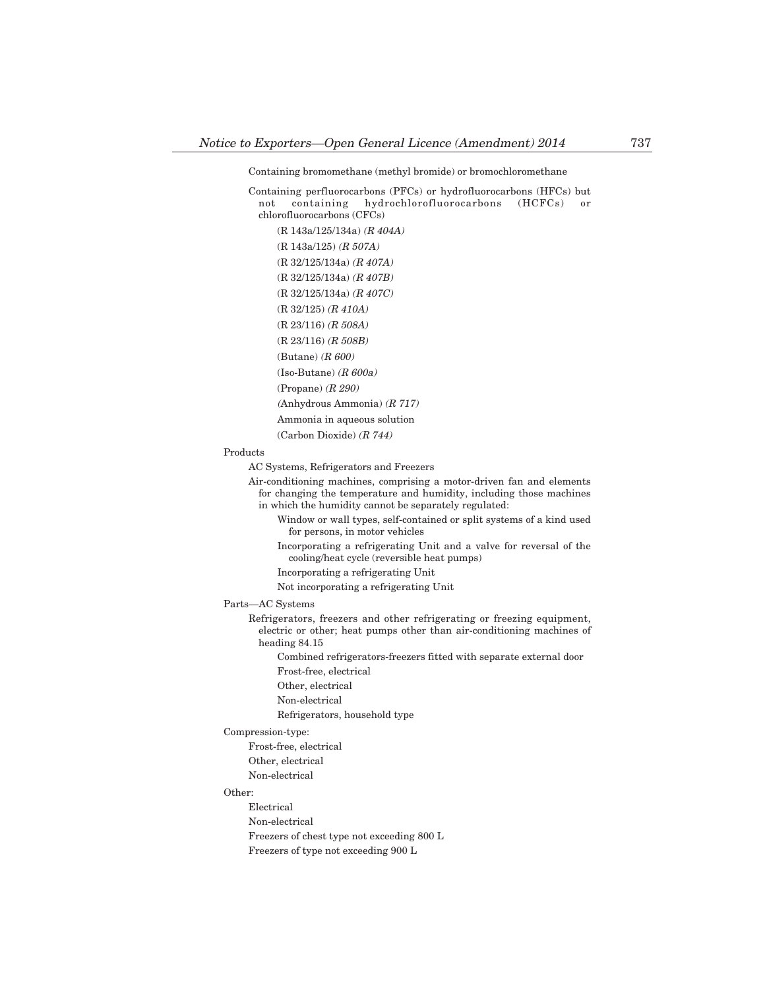### Containing bromomethane (methyl bromide) or bromochloromethane

Containing perfluorocarbons (PFCs) or hydrofluorocarbons (HFCs) but not containing hydrochlorofluorocarbons (HCFCs) or chlorofluorocarbons (CFCs)

(R 143a/125/134a) (R 404A) (R 143a/125) (R 507A) (R 32/125/134a) (R 407A) (R 32/125/134a) (R 407B) (R 32/125/134a) (R 407C) (R 32/125) (R 410A) (R 23/116) (R 508A) (R 23/116) (R 508B) (Butane) (R 600)  $(Iso-Butane)$  ( $R 600a$ ) (Propane) (R 290) (Anhydrous Ammonia) (R 717) Ammonia in aqueous solution (Carbon Dioxide) (R 744)

### Products

AC Systems, Refrigerators and Freezers

Air-conditioning machines, comprising a motor-driven fan and elements for changing the temperature and humidity, including those machines in which the humidity cannot be separately regulated:

- Window or wall types, self-contained or split systems of a kind used for persons, in motor vehicles
- Incorporating a refrigerating Unit and a valve for reversal of the cooling/heat cycle (reversible heat pumps)
- Incorporating a refrigerating Unit
- Not incorporating a refrigerating Unit

Parts–AC Systems

Refrigerators, freezers and other refrigerating or freezing equipment, electric or other; heat pumps other than air-conditioning machines of heading 84.15

Combined refrigerators-freezers fitted with separate external door

- Frost-free, electrical
- Other, electrical
- Non-electrical
- Refrigerators, household type

Compression-type:

- Frost-free, electrical Other, electrical
- Non-electrical

## Other:

Electrical Non-electrical Freezers of chest type not exceeding 800 L Freezers of type not exceeding 900 L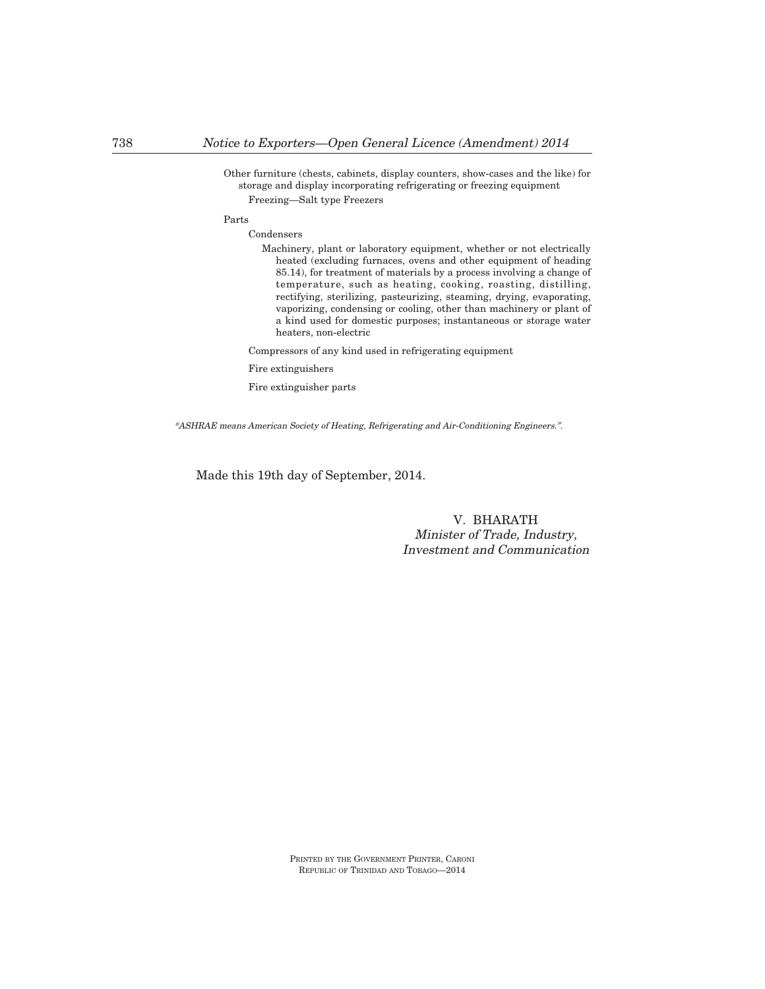Other furniture (chests, cabinets, display counters, show-cases and the like) for storage and display incorporating refrigerating or freezing equipment Freezing–Salt type Freezers

#### Parts

Condensers

Machinery, plant or laboratory equipment, whether or not electrically heated (excluding furnaces, ovens and other equipment of heading 85.14), for treatment of materials by a process involving a change of temperature, such as heating, cooking, roasting, distilling, rectifying, sterilizing, pasteurizing, steaming, drying, evaporating, vaporizing, condensing or cooling, other than machinery or plant of a kind used for domestic purposes; instantaneous or storage water heaters, non-electric

Compressors of any kind used in refrigerating equipment

Fire extinguishers

Fire extinguisher parts

\*ASHRAE means American Society of Heating, Refrigerating and Air-Conditioning Engineers.".

Made this 19th day of September, 2014.

# V. BHARATH Minister of Trade, Industry, Investment and Communication

PRINTED BY THE GOVERNMENT PRINTER, CARONI REPUBLIC OF TRINIDAD AND TOBAGO–2014